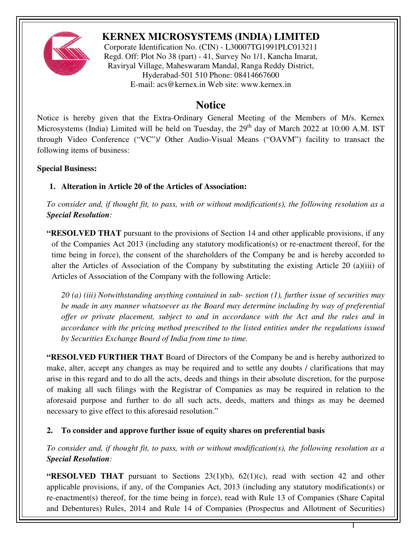

# **KERNEX MICROSYSTEMS (INDIA) LIMITED**

Corporate Identification No. (CIN) - L30007TG1991PLC013211 Regd. Off: Plot No 38 (part) - 41, Survey No 1/1, Kancha Imarat, Raviryal Village, Maheswaram Mandal, Ranga Reddy District, Hyderabad-501 510 Phone: 08414667600 E-mail: acs@kernex.in Web site: www.kernex.in

# **Notice**

Notice is hereby given that the Extra-Ordinary General Meeting of the Members of M/s. Kernex Microsystems (India) Limited will be held on Tuesday, the  $29<sup>th</sup>$  day of March 2022 at 10:00 A.M. IST through Video Conference ("VC")/ Other Audio-Visual Means ("OAVM") facility to transact the following items of business:

#### **Special Business:**

# **1. Alteration in Article 20 of the Articles of Association:**

*To consider and, if thought fit, to pass, with or without modification(s), the following resolution as a Special Resolution:* 

**"RESOLVED THAT** pursuant to the provisions of Section 14 and other applicable provisions, if any of the Companies Act 2013 (including any statutory modification(s) or re-enactment thereof, for the time being in force), the consent of the shareholders of the Company be and is hereby accorded to alter the Articles of Association of the Company by substituting the existing Article 20 (a)(iii) of Articles of Association of the Company with the following Article:

*20 (a) (iii) Notwithstanding anything contained in sub- section (1), further issue of securities may be made in any manner whatsoever as the Board may determine including by way of preferential offer or private placement, subject to and in accordance with the Act and the rules and in accordance with the pricing method prescribed to the listed entities under the regulations issued by Securities Exchange Board of India from time to time.* 

**"RESOLVED FURTHER THAT** Board of Directors of the Company be and is hereby authorized to make, alter, accept any changes as may be required and to settle any doubts / clarifications that may arise in this regard and to do all the acts, deeds and things in their absolute discretion, for the purpose of making all such filings with the Registrar of Companies as may be required in relation to the aforesaid purpose and further to do all such acts, deeds, matters and things as may be deemed necessary to give effect to this aforesaid resolution."

#### **2. To consider and approve further issue of equity shares on preferential basis**

*To consider and, if thought fit, to pass, with or without modification(s), the following resolution as a Special Resolution:* 

**"RESOLVED THAT** pursuant to Sections 23(1)(b), 62(1)(c), read with section 42 and other applicable provisions, if any, of the Companies Act, 2013 (including any statutory modification(s) or re-enactment(s) thereof, for the time being in force), read with Rule 13 of Companies (Share Capital and Debentures) Rules, 2014 and Rule 14 of Companies (Prospectus and Allotment of Securities)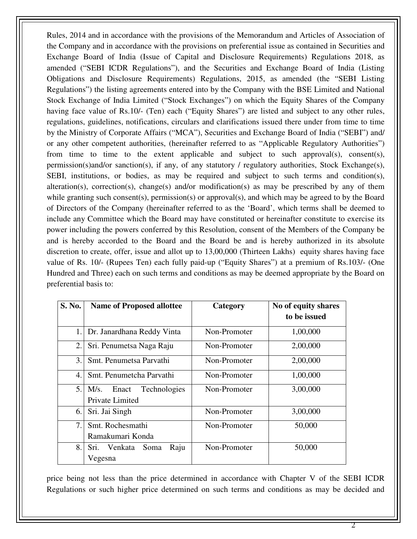Rules, 2014 and in accordance with the provisions of the Memorandum and Articles of Association of the Company and in accordance with the provisions on preferential issue as contained in Securities and Exchange Board of India (Issue of Capital and Disclosure Requirements) Regulations 2018, as amended ("SEBI ICDR Regulations"), and the Securities and Exchange Board of India (Listing Obligations and Disclosure Requirements) Regulations, 2015, as amended (the "SEBI Listing Regulations") the listing agreements entered into by the Company with the BSE Limited and National Stock Exchange of India Limited ("Stock Exchanges") on which the Equity Shares of the Company having face value of Rs.10/- (Ten) each ("Equity Shares") are listed and subject to any other rules, regulations, guidelines, notifications, circulars and clarifications issued there under from time to time by the Ministry of Corporate Affairs ("MCA"), Securities and Exchange Board of India ("SEBI") and/ or any other competent authorities, (hereinafter referred to as "Applicable Regulatory Authorities") from time to time to the extent applicable and subject to such approval(s), consent(s), permission(s)and/or sanction(s), if any, of any statutory / regulatory authorities, Stock Exchange(s), SEBI, institutions, or bodies, as may be required and subject to such terms and condition(s), alteration(s), correction(s), change(s) and/or modification(s) as may be prescribed by any of them while granting such consent(s), permission(s) or approval(s), and which may be agreed to by the Board of Directors of the Company (hereinafter referred to as the 'Board', which terms shall be deemed to include any Committee which the Board may have constituted or hereinafter constitute to exercise its power including the powers conferred by this Resolution, consent of the Members of the Company be and is hereby accorded to the Board and the Board be and is hereby authorized in its absolute discretion to create, offer, issue and allot up to 13,00,000 (Thirteen Lakhs) equity shares having face value of Rs. 10/- (Rupees Ten) each fully paid-up ("Equity Shares") at a premium of Rs.103/- (One Hundred and Three) each on such terms and conditions as may be deemed appropriate by the Board on preferential basis to:

| S. No. | <b>Name of Proposed allottee</b>     | Category     | No of equity shares<br>to be issued |
|--------|--------------------------------------|--------------|-------------------------------------|
|        |                                      |              |                                     |
| 1.     | Dr. Janardhana Reddy Vinta           | Non-Promoter | 1,00,000                            |
| 2.1    | Sri. Penumetsa Naga Raju             | Non-Promoter | 2,00,000                            |
| 3.     | Smt. Penumetsa Parvathi              | Non-Promoter | 2,00,000                            |
| 4.     | Smt. Penumetcha Parvathi             | Non-Promoter | 1,00,000                            |
| 5.1    | <b>Technologies</b><br>Enact<br>M/s. | Non-Promoter | 3,00,000                            |
|        | Private Limited                      |              |                                     |
| 6.     | Sri. Jai Singh                       | Non-Promoter | 3,00,000                            |
| 7.     | Smt. Rochesmathi                     | Non-Promoter | 50,000                              |
|        | Ramakumari Konda                     |              |                                     |
| 8.     | Sri. Venkata<br>Raju<br>Soma         | Non-Promoter | 50,000                              |
|        | Vegesna                              |              |                                     |

price being not less than the price determined in accordance with Chapter V of the SEBI ICDR Regulations or such higher price determined on such terms and conditions as may be decided and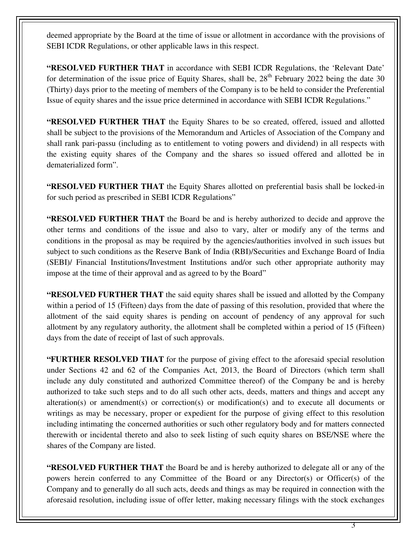deemed appropriate by the Board at the time of issue or allotment in accordance with the provisions of SEBI ICDR Regulations, or other applicable laws in this respect.

**"RESOLVED FURTHER THAT** in accordance with SEBI ICDR Regulations, the 'Relevant Date' for determination of the issue price of Equity Shares, shall be,  $28<sup>th</sup>$  February 2022 being the date 30 (Thirty) days prior to the meeting of members of the Company is to be held to consider the Preferential Issue of equity shares and the issue price determined in accordance with SEBI ICDR Regulations."

**"RESOLVED FURTHER THAT** the Equity Shares to be so created, offered, issued and allotted shall be subject to the provisions of the Memorandum and Articles of Association of the Company and shall rank pari-passu (including as to entitlement to voting powers and dividend) in all respects with the existing equity shares of the Company and the shares so issued offered and allotted be in dematerialized form".

**"RESOLVED FURTHER THAT** the Equity Shares allotted on preferential basis shall be locked-in for such period as prescribed in SEBI ICDR Regulations"

**"RESOLVED FURTHER THAT** the Board be and is hereby authorized to decide and approve the other terms and conditions of the issue and also to vary, alter or modify any of the terms and conditions in the proposal as may be required by the agencies/authorities involved in such issues but subject to such conditions as the Reserve Bank of India (RBI)/Securities and Exchange Board of India (SEBI)/ Financial Institutions/Investment Institutions and/or such other appropriate authority may impose at the time of their approval and as agreed to by the Board"

**"RESOLVED FURTHER THAT** the said equity shares shall be issued and allotted by the Company within a period of 15 (Fifteen) days from the date of passing of this resolution, provided that where the allotment of the said equity shares is pending on account of pendency of any approval for such allotment by any regulatory authority, the allotment shall be completed within a period of 15 (Fifteen) days from the date of receipt of last of such approvals.

**"FURTHER RESOLVED THAT** for the purpose of giving effect to the aforesaid special resolution under Sections 42 and 62 of the Companies Act, 2013, the Board of Directors (which term shall include any duly constituted and authorized Committee thereof) of the Company be and is hereby authorized to take such steps and to do all such other acts, deeds, matters and things and accept any alteration(s) or amendment(s) or correction(s) or modification(s) and to execute all documents or writings as may be necessary, proper or expedient for the purpose of giving effect to this resolution including intimating the concerned authorities or such other regulatory body and for matters connected therewith or incidental thereto and also to seek listing of such equity shares on BSE/NSE where the shares of the Company are listed.

**"RESOLVED FURTHER THAT** the Board be and is hereby authorized to delegate all or any of the powers herein conferred to any Committee of the Board or any Director(s) or Officer(s) of the Company and to generally do all such acts, deeds and things as may be required in connection with the aforesaid resolution, including issue of offer letter, making necessary filings with the stock exchanges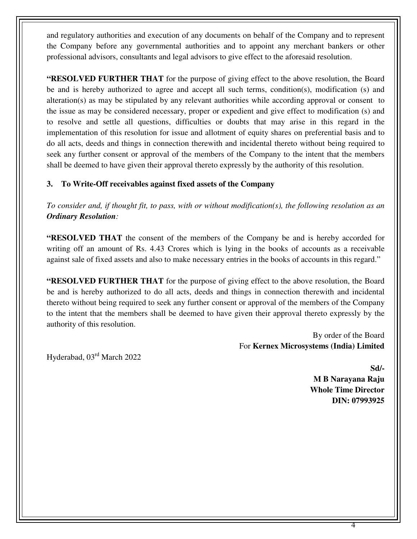and regulatory authorities and execution of any documents on behalf of the Company and to represent the Company before any governmental authorities and to appoint any merchant bankers or other professional advisors, consultants and legal advisors to give effect to the aforesaid resolution.

**"RESOLVED FURTHER THAT** for the purpose of giving effect to the above resolution, the Board be and is hereby authorized to agree and accept all such terms, condition(s), modification (s) and alteration(s) as may be stipulated by any relevant authorities while according approval or consent to the issue as may be considered necessary, proper or expedient and give effect to modification (s) and to resolve and settle all questions, difficulties or doubts that may arise in this regard in the implementation of this resolution for issue and allotment of equity shares on preferential basis and to do all acts, deeds and things in connection therewith and incidental thereto without being required to seek any further consent or approval of the members of the Company to the intent that the members shall be deemed to have given their approval thereto expressly by the authority of this resolution.

# **3. To Write-Off receivables against fixed assets of the Company**

*To consider and, if thought fit, to pass, with or without modification(s), the following resolution as an Ordinary Resolution:* 

**"RESOLVED THAT** the consent of the members of the Company be and is hereby accorded for writing off an amount of Rs. 4.43 Crores which is lying in the books of accounts as a receivable against sale of fixed assets and also to make necessary entries in the books of accounts in this regard."

**"RESOLVED FURTHER THAT** for the purpose of giving effect to the above resolution, the Board be and is hereby authorized to do all acts, deeds and things in connection therewith and incidental thereto without being required to seek any further consent or approval of the members of the Company to the intent that the members shall be deemed to have given their approval thereto expressly by the authority of this resolution.

> By order of the Board For **Kernex Microsystems (India) Limited**

Hyderabad, 03rd March 2022

**Sd/- M B Narayana Raju Whole Time Director DIN: 07993925**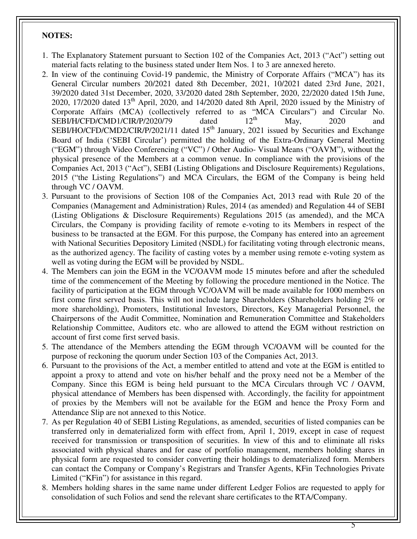### **NOTES:**

- 1. The Explanatory Statement pursuant to Section 102 of the Companies Act, 2013 ("Act") setting out material facts relating to the business stated under Item Nos. 1 to 3 are annexed hereto.
- 2. In view of the continuing Covid-19 pandemic, the Ministry of Corporate Affairs ("MCA") has its General Circular numbers 20/2021 dated 8th December, 2021, 10/2021 dated 23rd June, 2021, 39/2020 dated 31st December, 2020, 33/2020 dated 28th September, 2020, 22/2020 dated 15th June, 2020, 17/2020 dated 13<sup>th</sup> April, 2020, and 14/2020 dated 8th April, 2020 issued by the Ministry of Corporate Affairs (MCA) (collectively referred to as "MCA Circulars") and Circular No.<br>SEBI/H/CFD/CMD1/CIR/P/2020/79 dated 12<sup>th</sup> May. 2020 and  $SEBI/H/CFD/CMD1/CIR/P/2020/79$  dated  $12<sup>th</sup>$  May, 2020 and SEBI/HO/CFD/CMD2/CIR/P/2021/11 dated  $15<sup>th</sup>$  January, 2021 issued by Securities and Exchange Board of India ('SEBI Circular') permitted the holding of the Extra-Ordinary General Meeting ("EGM") through Video Conferencing ("VC") / Other Audio- Visual Means ("OAVM"), without the physical presence of the Members at a common venue. In compliance with the provisions of the Companies Act, 2013 ("Act"), SEBI (Listing Obligations and Disclosure Requirements) Regulations, 2015 ("the Listing Regulations") and MCA Circulars, the EGM of the Company is being held through VC / OAVM.
- 3. Pursuant to the provisions of Section 108 of the Companies Act, 2013 read with Rule 20 of the Companies (Management and Administration) Rules, 2014 (as amended) and Regulation 44 of SEBI (Listing Obligations & Disclosure Requirements) Regulations 2015 (as amended), and the MCA Circulars, the Company is providing facility of remote e-voting to its Members in respect of the business to be transacted at the EGM. For this purpose, the Company has entered into an agreement with National Securities Depository Limited (NSDL) for facilitating voting through electronic means, as the authorized agency. The facility of casting votes by a member using remote e-voting system as well as voting during the EGM will be provided by NSDL.
- 4. The Members can join the EGM in the VC/OAVM mode 15 minutes before and after the scheduled time of the commencement of the Meeting by following the procedure mentioned in the Notice. The facility of participation at the EGM through VC/OAVM will be made available for 1000 members on first come first served basis. This will not include large Shareholders (Shareholders holding 2% or more shareholding), Promoters, Institutional Investors, Directors, Key Managerial Personnel, the Chairpersons of the Audit Committee, Nomination and Remuneration Committee and Stakeholders Relationship Committee, Auditors etc. who are allowed to attend the EGM without restriction on account of first come first served basis.
- 5. The attendance of the Members attending the EGM through VC/OAVM will be counted for the purpose of reckoning the quorum under Section 103 of the Companies Act, 2013.
- 6. Pursuant to the provisions of the Act, a member entitled to attend and vote at the EGM is entitled to appoint a proxy to attend and vote on his/her behalf and the proxy need not be a Member of the Company. Since this EGM is being held pursuant to the MCA Circulars through VC / OAVM, physical attendance of Members has been dispensed with. Accordingly, the facility for appointment of proxies by the Members will not be available for the EGM and hence the Proxy Form and Attendance Slip are not annexed to this Notice.
- 7. As per Regulation 40 of SEBI Listing Regulations, as amended, securities of listed companies can be transferred only in dematerialized form with effect from, April 1, 2019, except in case of request received for transmission or transposition of securities. In view of this and to eliminate all risks associated with physical shares and for ease of portfolio management, members holding shares in physical form are requested to consider converting their holdings to dematerialized form. Members can contact the Company or Company's Registrars and Transfer Agents, KFin Technologies Private Limited ("KFin") for assistance in this regard.
- 8. Members holding shares in the same name under different Ledger Folios are requested to apply for consolidation of such Folios and send the relevant share certificates to the RTA/Company.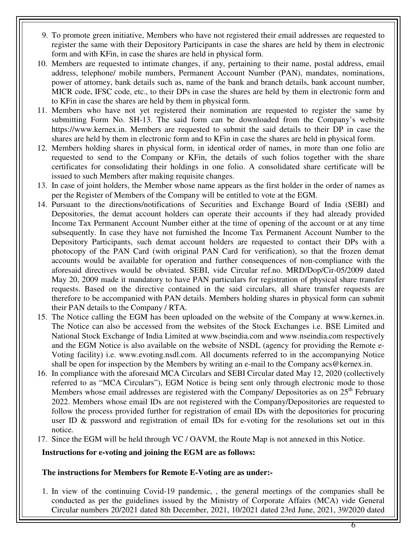- 9. To promote green initiative, Members who have not registered their email addresses are requested to register the same with their Depository Participants in case the shares are held by them in electronic form and with KFin, in case the shares are held in physical form.
- 10. Members are requested to intimate changes, if any, pertaining to their name, postal address, email address, telephone/ mobile numbers, Permanent Account Number (PAN), mandates, nominations, power of attorney, bank details such as, name of the bank and branch details, bank account number, MICR code, IFSC code, etc., to their DPs in case the shares are held by them in electronic form and to KFin in case the shares are held by them in physical form.
- 11. Members who have not yet registered their nomination are requested to register the same by submitting Form No. SH-13. The said form can be downloaded from the Company's website https://www.kernex.in. Members are requested to submit the said details to their DP in case the shares are held by them in electronic form and to KFin in case the shares are held in physical form.
- 12. Members holding shares in physical form, in identical order of names, in more than one folio are requested to send to the Company or KFin, the details of such folios together with the share certificates for consolidating their holdings in one folio. A consolidated share certificate will be issued to such Members after making requisite changes.
- 13. In case of joint holders, the Member whose name appears as the first holder in the order of names as per the Register of Members of the Company will be entitled to vote at the EGM.
- 14. Pursuant to the directions/notifications of Securities and Exchange Board of India (SEBI) and Depositories, the demat account holders can operate their accounts if they had already provided Income Tax Permanent Account Number either at the time of opening of the account or at any time subsequently. In case they have not furnished the Income Tax Permanent Account Number to the Depository Participants, such demat account holders are requested to contact their DPs with a photocopy of the PAN Card (with original PAN Card for verification), so that the frozen demat accounts would be available for operation and further consequences of non-compliance with the aforesaid directives would be obviated. SEBI, vide Circular ref.no. MRD/Dop/Cir-05/2009 dated May 20, 2009 made it mandatory to have PAN particulars for registration of physical share transfer requests. Based on the directive contained in the said circulars, all share transfer requests are therefore to be accompanied with PAN details. Members holding shares in physical form can submit their PAN details to the Company / RTA.
- 15. The Notice calling the EGM has been uploaded on the website of the Company at www.kernex.in. The Notice can also be accessed from the websites of the Stock Exchanges i.e. BSE Limited and National Stock Exchange of India Limited at www.bseindia.com and www.nseindia.com respectively and the EGM Notice is also available on the website of NSDL (agency for providing the Remote e-Voting facility) i.e. www.evoting.nsdl.com. All documents referred to in the accompanying Notice shall be open for inspection by the Members by writing an e-mail to the Company acs@kernex.in.
- 16. In compliance with the aforesaid MCA Circulars and SEBI Circular dated May 12, 2020 (collectively referred to as "MCA Circulars"), EGM Notice is being sent only through electronic mode to those Members whose email addresses are registered with the Company/ Depositories as on  $25<sup>th</sup>$  February 2022. Members whose email IDs are not registered with the Company/Depositories are requested to follow the process provided further for registration of email IDs with the depositories for procuring user ID & password and registration of email IDs for e-voting for the resolutions set out in this notice.
- 17. Since the EGM will be held through VC / OAVM, the Route Map is not annexed in this Notice.

#### **Instructions for e-voting and joining the EGM are as follows:**

#### **The instructions for Members for Remote E-Voting are as under:-**

1. In view of the continuing Covid-19 pandemic, , the general meetings of the companies shall be conducted as per the guidelines issued by the Ministry of Corporate Affairs (MCA) vide General Circular numbers 20/2021 dated 8th December, 2021, 10/2021 dated 23rd June, 2021, 39/2020 dated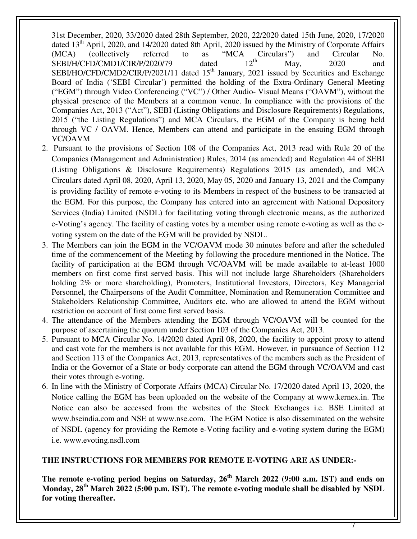31st December, 2020, 33/2020 dated 28th September, 2020, 22/2020 dated 15th June, 2020, 17/2020 dated 13<sup>th</sup> April, 2020, and 14/2020 dated 8th April, 2020 issued by the Ministry of Corporate Affairs  $(MCA)$  (collectively referred to as "MCA Circulars") and Circular No.<br>SEBI/H/CFD/CMD1/CIR/P/2020/79 dated  $12^{\text{th}}$  May 2020 and  $SEBI/H/CFD/CMD1/CIR/P/2020/79$  dated  $12<sup>th</sup>$  May, 2020 and SEBI/HO/CFD/CMD2/CIR/P/2021/11 dated  $15<sup>th</sup>$  January, 2021 issued by Securities and Exchange Board of India ('SEBI Circular') permitted the holding of the Extra-Ordinary General Meeting ("EGM") through Video Conferencing ("VC") / Other Audio- Visual Means ("OAVM"), without the physical presence of the Members at a common venue. In compliance with the provisions of the Companies Act, 2013 ("Act"), SEBI (Listing Obligations and Disclosure Requirements) Regulations, 2015 ("the Listing Regulations") and MCA Circulars, the EGM of the Company is being held through VC / OAVM. Hence, Members can attend and participate in the ensuing EGM through VC/OAVM

- 2. Pursuant to the provisions of Section 108 of the Companies Act, 2013 read with Rule 20 of the Companies (Management and Administration) Rules, 2014 (as amended) and Regulation 44 of SEBI (Listing Obligations & Disclosure Requirements) Regulations 2015 (as amended), and MCA Circulars dated April 08, 2020, April 13, 2020, May 05, 2020 and January 13, 2021 and the Company is providing facility of remote e-voting to its Members in respect of the business to be transacted at the EGM. For this purpose, the Company has entered into an agreement with National Depository Services (India) Limited (NSDL) for facilitating voting through electronic means, as the authorized e-Voting's agency. The facility of casting votes by a member using remote e-voting as well as the evoting system on the date of the EGM will be provided by NSDL.
- 3. The Members can join the EGM in the VC/OAVM mode 30 minutes before and after the scheduled time of the commencement of the Meeting by following the procedure mentioned in the Notice. The facility of participation at the EGM through VC/OAVM will be made available to at-least 1000 members on first come first served basis. This will not include large Shareholders (Shareholders holding 2% or more shareholding), Promoters, Institutional Investors, Directors, Key Managerial Personnel, the Chairpersons of the Audit Committee, Nomination and Remuneration Committee and Stakeholders Relationship Committee, Auditors etc. who are allowed to attend the EGM without restriction on account of first come first served basis.
- 4. The attendance of the Members attending the EGM through VC/OAVM will be counted for the purpose of ascertaining the quorum under Section 103 of the Companies Act, 2013.
- 5. Pursuant to MCA Circular No. 14/2020 dated April 08, 2020, the facility to appoint proxy to attend and cast vote for the members is not available for this EGM. However, in pursuance of Section 112 and Section 113 of the Companies Act, 2013, representatives of the members such as the President of India or the Governor of a State or body corporate can attend the EGM through VC/OAVM and cast their votes through e-voting.
- 6. In line with the Ministry of Corporate Affairs (MCA) Circular No. 17/2020 dated April 13, 2020, the Notice calling the EGM has been uploaded on the website of the Company at www.kernex.in. The Notice can also be accessed from the websites of the Stock Exchanges i.e. BSE Limited at www.bseindia.com and NSE at www.nse.com. The EGM Notice is also disseminated on the website of NSDL (agency for providing the Remote e-Voting facility and e-voting system during the EGM) i.e. www.evoting.nsdl.com

#### **THE INSTRUCTIONS FOR MEMBERS FOR REMOTE E-VOTING ARE AS UNDER:-**

**The remote e-voting period begins on Saturday, 26th March 2022 (9:00 a.m. IST) and ends on Monday, 28th March 2022 (5:00 p.m. IST). The remote e-voting module shall be disabled by NSDL for voting thereafter.**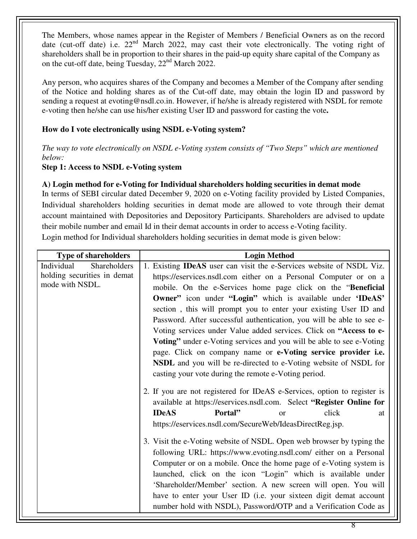The Members, whose names appear in the Register of Members / Beneficial Owners as on the record date (cut-off date) i.e. 22<sup>nd</sup> March 2022, may cast their vote electronically. The voting right of shareholders shall be in proportion to their shares in the paid-up equity share capital of the Company as on the cut-off date, being Tuesday, 22<sup>nd</sup> March 2022.

Any person, who acquires shares of the Company and becomes a Member of the Company after sending of the Notice and holding shares as of the Cut-off date, may obtain the login ID and password by sending a request at evoting@nsdl.co.in. However, if he/she is already registered with NSDL for remote e-voting then he/she can use his/her existing User ID and password for casting the vote**.** 

# **How do I vote electronically using NSDL e-Voting system?**

*The way to vote electronically on NSDL e-Voting system consists of "Two Steps" which are mentioned below:* 

#### **Step 1: Access to NSDL e-Voting system**

#### **A) Login method for e-Voting for Individual shareholders holding securities in demat mode**

In terms of SEBI circular dated December 9, 2020 on e-Voting facility provided by Listed Companies, Individual shareholders holding securities in demat mode are allowed to vote through their demat account maintained with Depositories and Depository Participants. Shareholders are advised to update their mobile number and email Id in their demat accounts in order to access e-Voting facility.

Login method for Individual shareholders holding securities in demat mode is given below:

| <b>Type of shareholders</b> | <b>Login Method</b>                                                         |  |  |  |
|-----------------------------|-----------------------------------------------------------------------------|--|--|--|
| Individual<br>Shareholders  | 1. Existing <b>IDeAS</b> user can visit the e-Services website of NSDL Viz. |  |  |  |
| holding securities in demat | https://eservices.nsdl.com either on a Personal Computer or on a            |  |  |  |
| mode with NSDL.             | mobile. On the e-Services home page click on the "Beneficial                |  |  |  |
|                             | Owner" icon under "Login" which is available under 'IDeAS'                  |  |  |  |
|                             | section, this will prompt you to enter your existing User ID and            |  |  |  |
|                             | Password. After successful authentication, you will be able to see e-       |  |  |  |
|                             | Voting services under Value added services. Click on "Access to e-          |  |  |  |
|                             | Voting" under e-Voting services and you will be able to see e-Voting        |  |  |  |
|                             | page. Click on company name or e-Voting service provider i.e.               |  |  |  |
|                             | NSDL and you will be re-directed to e-Voting website of NSDL for            |  |  |  |
|                             | casting your vote during the remote e-Voting period.                        |  |  |  |
|                             |                                                                             |  |  |  |
|                             | 2. If you are not registered for IDeAS e-Services, option to register is    |  |  |  |
|                             | available at https://eservices.nsdl.com. Select "Register Online for        |  |  |  |
|                             | <b>IDeAS</b><br>Portal"<br>click<br><b>or</b><br>at                         |  |  |  |
|                             | https://eservices.nsdl.com/SecureWeb/IdeasDirectReg.jsp.                    |  |  |  |
|                             | 3. Visit the e-Voting website of NSDL. Open web browser by typing the       |  |  |  |
|                             | following URL: https://www.evoting.nsdl.com/ either on a Personal           |  |  |  |
|                             | Computer or on a mobile. Once the home page of e-Voting system is           |  |  |  |
|                             | launched, click on the icon "Login" which is available under                |  |  |  |
|                             |                                                                             |  |  |  |
|                             | 'Shareholder/Member' section. A new screen will open. You will              |  |  |  |
|                             | have to enter your User ID (i.e. your sixteen digit demat account           |  |  |  |
|                             | number hold with NSDL), Password/OTP and a Verification Code as             |  |  |  |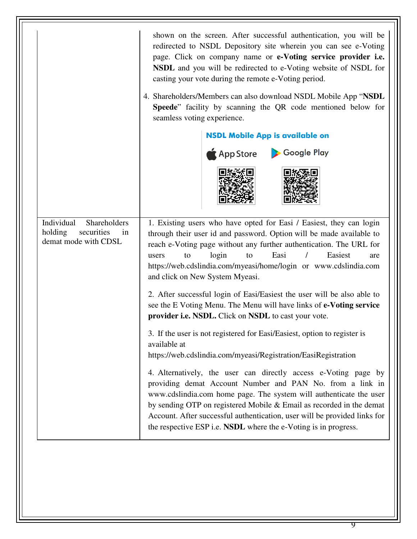|                                                                                   | shown on the screen. After successful authentication, you will be<br>redirected to NSDL Depository site wherein you can see e-Voting<br>page. Click on company name or e-Voting service provider i.e.<br>NSDL and you will be redirected to e-Voting website of NSDL for<br>casting your vote during the remote e-Voting period.<br>4. Shareholders/Members can also download NSDL Mobile App "NSDL"<br>Speede" facility by scanning the QR code mentioned below for<br>seamless voting experience.<br><b>NSDL Mobile App is available on</b><br>App Store > Google Play<br>1. Existing users who have opted for Easi / Easiest, they can login<br>through their user id and password. Option will be made available to<br>reach e-Voting page without any further authentication. The URL for<br>Easi<br>Easiest<br>login<br>to<br>to<br>users<br>$\prime$<br>are<br>https://web.cdslindia.com/myeasi/home/login or www.cdslindia.com<br>and click on New System Myeasi.<br>2. After successful login of Easi/Easiest the user will be also able to<br>see the E Voting Menu. The Menu will have links of e-Voting service<br>provider i.e. NSDL. Click on NSDL to cast your vote. |  |  |
|-----------------------------------------------------------------------------------|-------------------------------------------------------------------------------------------------------------------------------------------------------------------------------------------------------------------------------------------------------------------------------------------------------------------------------------------------------------------------------------------------------------------------------------------------------------------------------------------------------------------------------------------------------------------------------------------------------------------------------------------------------------------------------------------------------------------------------------------------------------------------------------------------------------------------------------------------------------------------------------------------------------------------------------------------------------------------------------------------------------------------------------------------------------------------------------------------------------------------------------------------------------------------------------|--|--|
| Individual<br>Shareholders<br>securities<br>holding<br>in<br>demat mode with CDSL |                                                                                                                                                                                                                                                                                                                                                                                                                                                                                                                                                                                                                                                                                                                                                                                                                                                                                                                                                                                                                                                                                                                                                                                     |  |  |
|                                                                                   |                                                                                                                                                                                                                                                                                                                                                                                                                                                                                                                                                                                                                                                                                                                                                                                                                                                                                                                                                                                                                                                                                                                                                                                     |  |  |
|                                                                                   | 3. If the user is not registered for Easi/Easiest, option to register is<br>available at<br>https://web.cdslindia.com/myeasi/Registration/EasiRegistration                                                                                                                                                                                                                                                                                                                                                                                                                                                                                                                                                                                                                                                                                                                                                                                                                                                                                                                                                                                                                          |  |  |
|                                                                                   | 4. Alternatively, the user can directly access e-Voting page by<br>providing demat Account Number and PAN No. from a link in<br>www.cdslindia.com home page. The system will authenticate the user<br>by sending OTP on registered Mobile & Email as recorded in the demat<br>Account. After successful authentication, user will be provided links for<br>the respective ESP i.e. NSDL where the e-Voting is in progress.                                                                                                                                                                                                                                                                                                                                                                                                                                                                                                                                                                                                                                                                                                                                                          |  |  |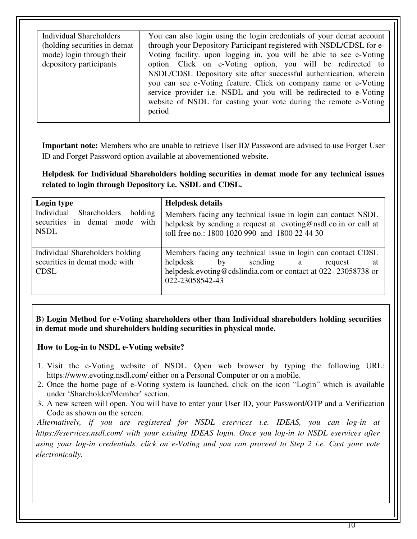**Important note:** Members who are unable to retrieve User ID/ Password are advised to use Forget User ID and Forget Password option available at abovementioned website.

**Helpdesk for Individual Shareholders holding securities in demat mode for any technical issues related to login through Depository i.e. NSDL and CDSL.** 

| Login type                                                                         | <b>Helpdesk details</b>                                                                                                                                                                         |
|------------------------------------------------------------------------------------|-------------------------------------------------------------------------------------------------------------------------------------------------------------------------------------------------|
| Individual<br>Shareholders holding<br>securities in demat mode with<br><b>NSDL</b> | Members facing any technical issue in login can contact NSDL<br>helpdesk by sending a request at evoting@nsdl.co.in or call at<br>toll free no.: 1800 1020 990 and 1800 22 44 30                |
| Individual Shareholders holding<br>securities in demat mode with<br><b>CDSL</b>    | Members facing any technical issue in login can contact CDSL<br>helpdesk<br>sending a<br>by<br>request<br>at<br>helpdesk.evoting@cdslindia.com or contact at 022-23058738 or<br>022-23058542-43 |

**B) Login Method for e-Voting shareholders other than Individual shareholders holding securities in demat mode and shareholders holding securities in physical mode.** 

#### **How to Log-in to NSDL e-Voting website?**

- 1. Visit the e-Voting website of NSDL. Open web browser by typing the following URL: https://www.evoting.nsdl.com/ either on a Personal Computer or on a mobile.
- 2. Once the home page of e-Voting system is launched, click on the icon "Login" which is available under 'Shareholder/Member' section.
- 3. A new screen will open. You will have to enter your User ID, your Password/OTP and a Verification Code as shown on the screen.

*Alternatively, if you are registered for NSDL eservices i.e. IDEAS, you can log-in at https://eservices.nsdl.com/ with your existing IDEAS login. Once you log-in to NSDL eservices after using your log-in credentials, click on e-Voting and you can proceed to Step 2 i.e. Cast your vote electronically.*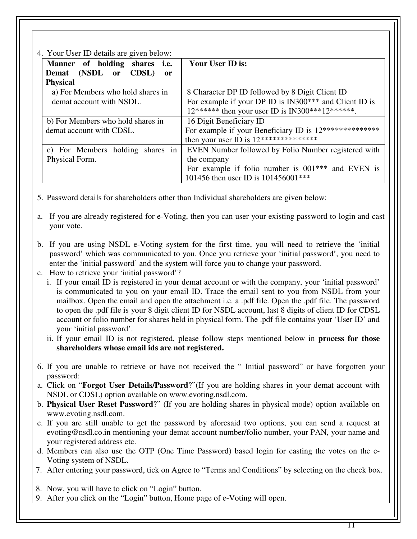4. Your User ID details are given below:

| 4. Your User ID details are given below: |                                                         |  |  |  |
|------------------------------------------|---------------------------------------------------------|--|--|--|
| Manner of holding shares i.e.            | Your User ID is:                                        |  |  |  |
| Demat (NSDL or CDSL)<br><sub>or</sub>    |                                                         |  |  |  |
| <b>Physical</b>                          |                                                         |  |  |  |
| a) For Members who hold shares in        | 8 Character DP ID followed by 8 Digit Client ID         |  |  |  |
| demat account with NSDL.                 | For example if your DP ID is IN300*** and Client ID is  |  |  |  |
|                                          | $12******$ then your user ID is IN300***12******.       |  |  |  |
| b) For Members who hold shares in        | 16 Digit Beneficiary ID                                 |  |  |  |
| demat account with CDSL.                 | For example if your Beneficiary ID is 12*************** |  |  |  |
|                                          | then your user ID is $12*******************$            |  |  |  |
| c) For Members holding shares in         | EVEN Number followed by Folio Number registered with    |  |  |  |
| Physical Form.                           | the company                                             |  |  |  |
|                                          | For example if folio number is $001***$ and EVEN is     |  |  |  |
|                                          | 101456 then user ID is 101456001***                     |  |  |  |

5. Password details for shareholders other than Individual shareholders are given below:

- a. If you are already registered for e-Voting, then you can user your existing password to login and cast your vote.
- b. If you are using NSDL e-Voting system for the first time, you will need to retrieve the 'initial password' which was communicated to you. Once you retrieve your 'initial password', you need to enter the 'initial password' and the system will force you to change your password.
- c. How to retrieve your 'initial password'?
	- i. If your email ID is registered in your demat account or with the company, your 'initial password' is communicated to you on your email ID. Trace the email sent to you from NSDL from your mailbox. Open the email and open the attachment i.e. a .pdf file. Open the .pdf file. The password to open the .pdf file is your 8 digit client ID for NSDL account, last 8 digits of client ID for CDSL account or folio number for shares held in physical form. The .pdf file contains your 'User ID' and your 'initial password'.
	- ii. If your email ID is not registered, please follow steps mentioned below in **process for those shareholders whose email ids are not registered.**
- 6. If you are unable to retrieve or have not received the " Initial password" or have forgotten your password:
- a. Click on "**Forgot User Details/Password**?"(If you are holding shares in your demat account with NSDL or CDSL) option available on www.evoting.nsdl.com.
- b. **Physical User Reset Password**?" (If you are holding shares in physical mode) option available on www.evoting.nsdl.com.
- c. If you are still unable to get the password by aforesaid two options, you can send a request at evoting@nsdl.co.in mentioning your demat account number/folio number, your PAN, your name and your registered address etc.
- d. Members can also use the OTP (One Time Password) based login for casting the votes on the e-Voting system of NSDL.
- 7. After entering your password, tick on Agree to "Terms and Conditions" by selecting on the check box.
- 8. Now, you will have to click on "Login" button.
- 9. After you click on the "Login" button, Home page of e-Voting will open.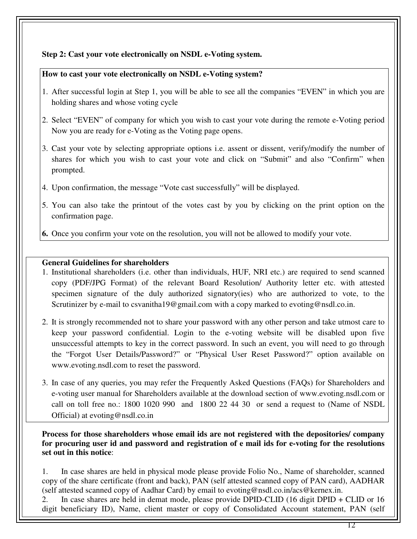# **Step 2: Cast your vote electronically on NSDL e-Voting system.**

#### **How to cast your vote electronically on NSDL e-Voting system?**

- 1. After successful login at Step 1, you will be able to see all the companies "EVEN" in which you are holding shares and whose voting cycle
- 2. Select "EVEN" of company for which you wish to cast your vote during the remote e-Voting period Now you are ready for e-Voting as the Voting page opens.
- 3. Cast your vote by selecting appropriate options i.e. assent or dissent, verify/modify the number of shares for which you wish to cast your vote and click on "Submit" and also "Confirm" when prompted.
- 4. Upon confirmation, the message "Vote cast successfully" will be displayed.
- 5. You can also take the printout of the votes cast by you by clicking on the print option on the confirmation page.
- **6.** Once you confirm your vote on the resolution, you will not be allowed to modify your vote.

# **General Guidelines for shareholders**

- 1. Institutional shareholders (i.e. other than individuals, HUF, NRI etc.) are required to send scanned copy (PDF/JPG Format) of the relevant Board Resolution/ Authority letter etc. with attested specimen signature of the duly authorized signatory(ies) who are authorized to vote, to the Scrutinizer by e-mail to csvanitha19@gmail.com with a copy marked to evoting@nsdl.co.in.
- 2. It is strongly recommended not to share your password with any other person and take utmost care to keep your password confidential. Login to the e-voting website will be disabled upon five unsuccessful attempts to key in the correct password. In such an event, you will need to go through the "Forgot User Details/Password?" or "Physical User Reset Password?" option available on www.evoting.nsdl.com to reset the password.
- 3. In case of any queries, you may refer the Frequently Asked Questions (FAQs) for Shareholders and e-voting user manual for Shareholders available at the download section of www.evoting.nsdl.com or call on toll free no.: 1800 1020 990 and 1800 22 44 30 or send a request to (Name of NSDL Official) at evoting@nsdl.co.in

**Process for those shareholders whose email ids are not registered with the depositories/ company for procuring user id and password and registration of e mail ids for e-voting for the resolutions set out in this notice**:

1. In case shares are held in physical mode please provide Folio No., Name of shareholder, scanned copy of the share certificate (front and back), PAN (self attested scanned copy of PAN card), AADHAR (self attested scanned copy of Aadhar Card) by email to evoting@nsdl.co.in/acs@kernex.in.

2. In case shares are held in demat mode, please provide DPID-CLID (16 digit DPID + CLID or 16 digit beneficiary ID), Name, client master or copy of Consolidated Account statement, PAN (self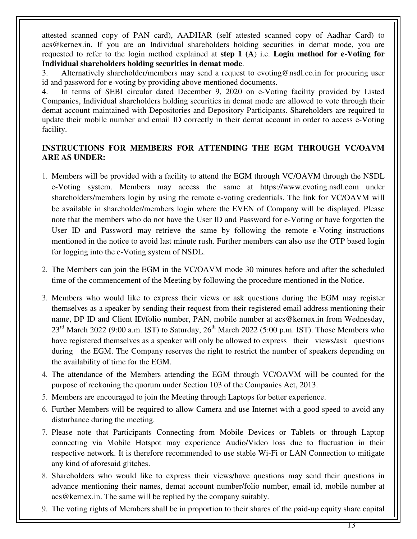attested scanned copy of PAN card), AADHAR (self attested scanned copy of Aadhar Card) to acs@kernex.in. If you are an Individual shareholders holding securities in demat mode, you are requested to refer to the login method explained at **step 1 (A**) i.e. **Login method for e-Voting for Individual shareholders holding securities in demat mode**.

3. Alternatively shareholder/members may send a request to evoting@nsdl.co.in for procuring user id and password for e-voting by providing above mentioned documents.

4. In terms of SEBI circular dated December 9, 2020 on e-Voting facility provided by Listed Companies, Individual shareholders holding securities in demat mode are allowed to vote through their demat account maintained with Depositories and Depository Participants. Shareholders are required to update their mobile number and email ID correctly in their demat account in order to access e-Voting facility.

# **INSTRUCTIONS FOR MEMBERS FOR ATTENDING THE EGM THROUGH VC/OAVM ARE AS UNDER:**

- 1. Members will be provided with a facility to attend the EGM through VC/OAVM through the NSDL e-Voting system. Members may access the same at https://www.evoting.nsdl.com under shareholders/members login by using the remote e-voting credentials. The link for VC/OAVM will be available in shareholder/members login where the EVEN of Company will be displayed. Please note that the members who do not have the User ID and Password for e-Voting or have forgotten the User ID and Password may retrieve the same by following the remote e-Voting instructions mentioned in the notice to avoid last minute rush. Further members can also use the OTP based login for logging into the e-Voting system of NSDL.
- 2. The Members can join the EGM in the VC/OAVM mode 30 minutes before and after the scheduled time of the commencement of the Meeting by following the procedure mentioned in the Notice.
- 3. Members who would like to express their views or ask questions during the EGM may register themselves as a speaker by sending their request from their registered email address mentioning their name, DP ID and Client ID/folio number, PAN, mobile number at acs@kernex.in from Wednesday,  $23<sup>rd</sup>$  March 2022 (9:00 a.m. IST) to Saturday,  $26<sup>th</sup>$  March 2022 (5:00 p.m. IST). Those Members who have registered themselves as a speaker will only be allowed to express their views/ask questions during the EGM. The Company reserves the right to restrict the number of speakers depending on the availability of time for the EGM.
- 4. The attendance of the Members attending the EGM through VC/OAVM will be counted for the purpose of reckoning the quorum under Section 103 of the Companies Act, 2013.
- 5. Members are encouraged to join the Meeting through Laptops for better experience.
- 6. Further Members will be required to allow Camera and use Internet with a good speed to avoid any disturbance during the meeting.
- 7. Please note that Participants Connecting from Mobile Devices or Tablets or through Laptop connecting via Mobile Hotspot may experience Audio/Video loss due to fluctuation in their respective network. It is therefore recommended to use stable Wi-Fi or LAN Connection to mitigate any kind of aforesaid glitches.
- 8. Shareholders who would like to express their views/have questions may send their questions in advance mentioning their names, demat account number/folio number, email id, mobile number at acs@kernex.in. The same will be replied by the company suitably.
- 9. The voting rights of Members shall be in proportion to their shares of the paid-up equity share capital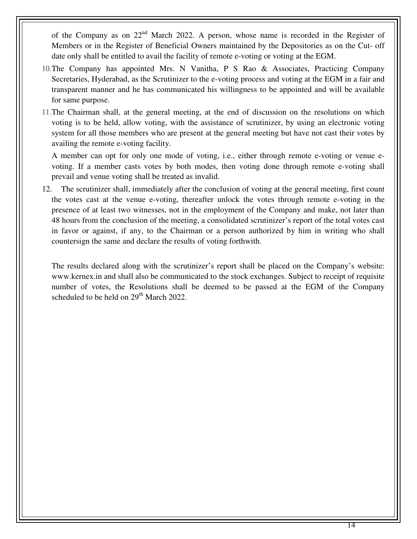of the Company as on  $22<sup>nd</sup>$  March 2022. A person, whose name is recorded in the Register of Members or in the Register of Beneficial Owners maintained by the Depositories as on the Cut- off date only shall be entitled to avail the facility of remote e-voting or voting at the EGM.

- 10.The Company has appointed Mrs. N Vanitha, P S Rao & Associates, Practicing Company Secretaries, Hyderabad, as the Scrutinizer to the e-voting process and voting at the EGM in a fair and transparent manner and he has communicated his willingness to be appointed and will be available for same purpose.
- 11.The Chairman shall, at the general meeting, at the end of discussion on the resolutions on which voting is to be held, allow voting, with the assistance of scrutinizer, by using an electronic voting system for all those members who are present at the general meeting but have not cast their votes by availing the remote e-voting facility.

 A member can opt for only one mode of voting, i.e., either through remote e-voting or venue evoting. If a member casts votes by both modes, then voting done through remote e-voting shall prevail and venue voting shall be treated as invalid.

12. The scrutinizer shall, immediately after the conclusion of voting at the general meeting, first count the votes cast at the venue e-voting, thereafter unlock the votes through remote e-voting in the presence of at least two witnesses, not in the employment of the Company and make, not later than 48 hours from the conclusion of the meeting, a consolidated scrutinizer's report of the total votes cast in favor or against, if any, to the Chairman or a person authorized by him in writing who shall countersign the same and declare the results of voting forthwith.

The results declared along with the scrutinizer's report shall be placed on the Company's website: www.kernex.in and shall also be communicated to the stock exchanges. Subject to receipt of requisite number of votes, the Resolutions shall be deemed to be passed at the EGM of the Company scheduled to be held on 29<sup>th</sup> March 2022.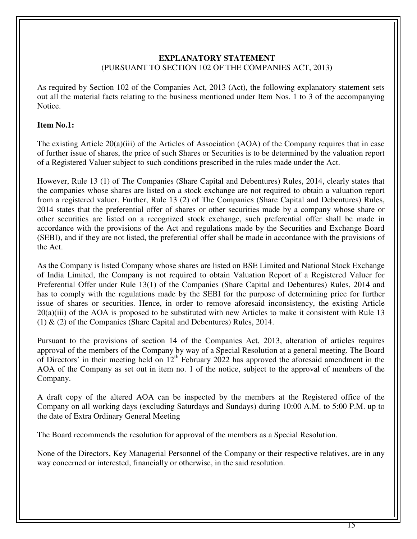# **EXPLANATORY STATEMENT**  (PURSUANT TO SECTION 102 OF THE COMPANIES ACT, 2013**)**

As required by Section 102 of the Companies Act, 2013 (Act), the following explanatory statement sets out all the material facts relating to the business mentioned under Item Nos. 1 to 3 of the accompanying Notice.

#### **Item No.1:**

The existing Article 20(a)(iii) of the Articles of Association (AOA) of the Company requires that in case of further issue of shares, the price of such Shares or Securities is to be determined by the valuation report of a Registered Valuer subject to such conditions prescribed in the rules made under the Act.

However, Rule 13 (1) of The Companies (Share Capital and Debentures) Rules, 2014, clearly states that the companies whose shares are listed on a stock exchange are not required to obtain a valuation report from a registered valuer. Further, Rule 13 (2) of The Companies (Share Capital and Debentures) Rules, 2014 states that the preferential offer of shares or other securities made by a company whose share or other securities are listed on a recognized stock exchange, such preferential offer shall be made in accordance with the provisions of the Act and regulations made by the Securities and Exchange Board (SEBI), and if they are not listed, the preferential offer shall be made in accordance with the provisions of the Act.

As the Company is listed Company whose shares are listed on BSE Limited and National Stock Exchange of India Limited, the Company is not required to obtain Valuation Report of a Registered Valuer for Preferential Offer under Rule 13(1) of the Companies (Share Capital and Debentures) Rules, 2014 and has to comply with the regulations made by the SEBI for the purpose of determining price for further issue of shares or securities. Hence, in order to remove aforesaid inconsistency, the existing Article 20(a)(iii) of the AOA is proposed to be substituted with new Articles to make it consistent with Rule 13 (1) & (2) of the Companies (Share Capital and Debentures) Rules, 2014.

Pursuant to the provisions of section 14 of the Companies Act, 2013, alteration of articles requires approval of the members of the Company by way of a Special Resolution at a general meeting. The Board of Directors' in their meeting held on  $12<sup>th</sup>$  February 2022 has approved the aforesaid amendment in the AOA of the Company as set out in item no. 1 of the notice, subject to the approval of members of the Company.

A draft copy of the altered AOA can be inspected by the members at the Registered office of the Company on all working days (excluding Saturdays and Sundays) during 10:00 A.M. to 5:00 P.M. up to the date of Extra Ordinary General Meeting

The Board recommends the resolution for approval of the members as a Special Resolution.

None of the Directors, Key Managerial Personnel of the Company or their respective relatives, are in any way concerned or interested, financially or otherwise, in the said resolution.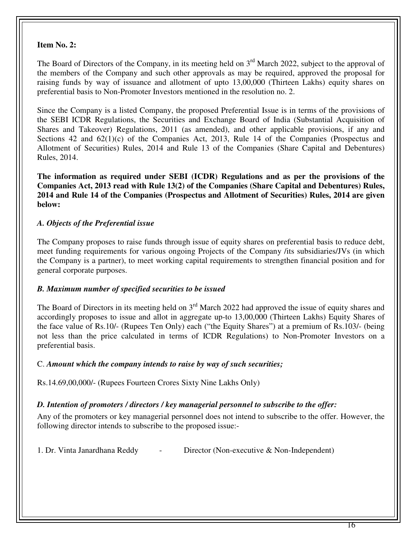# **Item No. 2:**

The Board of Directors of the Company, in its meeting held on 3<sup>rd</sup> March 2022, subject to the approval of the members of the Company and such other approvals as may be required, approved the proposal for raising funds by way of issuance and allotment of upto 13,00,000 (Thirteen Lakhs) equity shares on preferential basis to Non-Promoter Investors mentioned in the resolution no. 2.

Since the Company is a listed Company, the proposed Preferential Issue is in terms of the provisions of the SEBI ICDR Regulations, the Securities and Exchange Board of India (Substantial Acquisition of Shares and Takeover) Regulations, 2011 (as amended), and other applicable provisions, if any and Sections 42 and  $62(1)(c)$  of the Companies Act, 2013, Rule 14 of the Companies (Prospectus and Allotment of Securities) Rules, 2014 and Rule 13 of the Companies (Share Capital and Debentures) Rules, 2014.

**The information as required under SEBI (ICDR) Regulations and as per the provisions of the Companies Act, 2013 read with Rule 13(2) of the Companies (Share Capital and Debentures) Rules, 2014 and Rule 14 of the Companies (Prospectus and Allotment of Securities) Rules, 2014 are given below:** 

# *A. Objects of the Preferential issue*

The Company proposes to raise funds through issue of equity shares on preferential basis to reduce debt, meet funding requirements for various ongoing Projects of the Company /its subsidiaries/JVs (in which the Company is a partner), to meet working capital requirements to strengthen financial position and for general corporate purposes.

#### *B. Maximum number of specified securities to be issued*

The Board of Directors in its meeting held on  $3<sup>rd</sup>$  March 2022 had approved the issue of equity shares and accordingly proposes to issue and allot in aggregate up-to 13,00,000 (Thirteen Lakhs) Equity Shares of the face value of Rs.10/- (Rupees Ten Only) each ("the Equity Shares") at a premium of Rs.103/- (being not less than the price calculated in terms of ICDR Regulations) to Non-Promoter Investors on a preferential basis.

#### C. *Amount which the company intends to raise by way of such securities;*

Rs.14.69,00,000/- (Rupees Fourteen Crores Sixty Nine Lakhs Only)

#### *D. Intention of promoters / directors / key managerial personnel to subscribe to the offer:*

Any of the promoters or key managerial personnel does not intend to subscribe to the offer. However, the following director intends to subscribe to the proposed issue:-

1. Dr. Vinta Janardhana Reddy - Director (Non-executive & Non-Independent)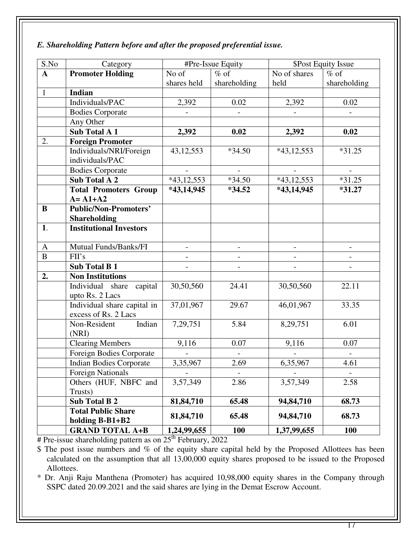# *E. Shareholding Pattern before and after the proposed preferential issue.*

| S.No         | Category                       | #Pre-Issue Equity        |                          | <b>\$Post Equity Issue</b> |                          |
|--------------|--------------------------------|--------------------------|--------------------------|----------------------------|--------------------------|
| $\mathbf{A}$ | <b>Promoter Holding</b>        | No of                    | $%$ of                   | No of shares<br>$%$ of     |                          |
|              |                                | shares held              | shareholding             | held                       | shareholding             |
| $\mathbf{1}$ | <b>Indian</b>                  |                          |                          |                            |                          |
|              | Individuals/PAC                | 2,392                    | 0.02                     | 2,392                      | 0.02                     |
|              | <b>Bodies Corporate</b>        |                          | $\overline{\phantom{a}}$ |                            | $\overline{\phantom{a}}$ |
|              | Any Other                      |                          |                          |                            |                          |
|              | <b>Sub Total A 1</b>           | 2,392                    | 0.02                     | 2,392                      | 0.02                     |
| 2.           | <b>Foreign Promoter</b>        |                          |                          |                            |                          |
|              | Individuals/NRI/Foreign        | 43, 12, 553              | $*34.50$                 | $*43,12,553$               | $*31.25$                 |
|              | individuals/PAC                |                          |                          |                            |                          |
|              | <b>Bodies Corporate</b>        |                          | $\overline{\phantom{a}}$ |                            | $\blacksquare$           |
|              | <b>Sub Total A 2</b>           | $*43,12,553$             | $*34.50$                 | $*43,12,553$               | $*31.25$                 |
|              | <b>Total Promoters Group</b>   | $*43,14,945$             | $*34.52$                 | *43,14,945                 | $*31.27$                 |
|              | $A = A1+A2$                    |                          |                          |                            |                          |
| $\bf{B}$     | <b>Public/Non-Promoters'</b>   |                          |                          |                            |                          |
|              | <b>Shareholding</b>            |                          |                          |                            |                          |
| 1.           | <b>Institutional Investors</b> |                          |                          |                            |                          |
|              |                                |                          |                          |                            |                          |
| $\mathbf{A}$ | Mutual Funds/Banks/FI          |                          |                          |                            |                          |
| $\bf{B}$     | FII's                          |                          |                          |                            |                          |
|              | <b>Sub Total B1</b>            | $\overline{\phantom{a}}$ | $\overline{\phantom{a}}$ | $\overline{a}$             | $\overline{\phantom{0}}$ |
| 2.           | <b>Non Institutions</b>        |                          |                          |                            |                          |
|              | Individual share capital       | 30,50,560                | 24.41                    | 30,50,560                  | 22.11                    |
|              | upto Rs. 2 Lacs                |                          |                          |                            |                          |
|              | Individual share capital in    | 37,01,967                | 29.67                    | 46,01,967                  | 33.35                    |
|              | excess of Rs. 2 Lacs           |                          |                          |                            |                          |
|              | Indian<br>Non-Resident         | 7,29,751                 | 5.84                     | 8,29,751                   | 6.01                     |
|              | (NRI)                          |                          |                          |                            |                          |
|              | <b>Clearing Members</b>        | 9,116                    | 0.07                     | 9,116                      | 0.07                     |
|              | Foreign Bodies Corporate       |                          |                          |                            |                          |
|              | <b>Indian Bodies Corporate</b> | 3,35,967                 | 2.69                     | 6,35,967                   | 4.61                     |
|              | <b>Foreign Nationals</b>       |                          |                          |                            |                          |
|              | Others (HUF, NBFC and          | 3,57,349                 | 2.86                     | 3,57,349                   | 2.58                     |
|              | Trusts)                        |                          |                          |                            |                          |
|              | <b>Sub Total B 2</b>           | 81,84,710                | 65.48                    | 94,84,710                  | 68.73                    |
|              | <b>Total Public Share</b>      | 81,84,710                | 65.48                    | 94,84,710                  | 68.73                    |
|              | holding B-B1+B2                |                          |                          |                            |                          |
|              | <b>GRAND TOTAL A+B</b>         | 1,24,99,655              | <b>100</b>               | 1,37,99,655                | <b>100</b>               |

 $# Pre-issue shareholding pattern as on 25<sup>th</sup> February, 2022$ 

\$ The post issue numbers and % of the equity share capital held by the Proposed Allottees has been calculated on the assumption that all 13,00,000 equity shares proposed to be issued to the Proposed Allottees.

\* Dr. Anji Raju Manthena (Promoter) has acquired 10,98,000 equity shares in the Company through SSPC dated 20.09.2021 and the said shares are lying in the Demat Escrow Account.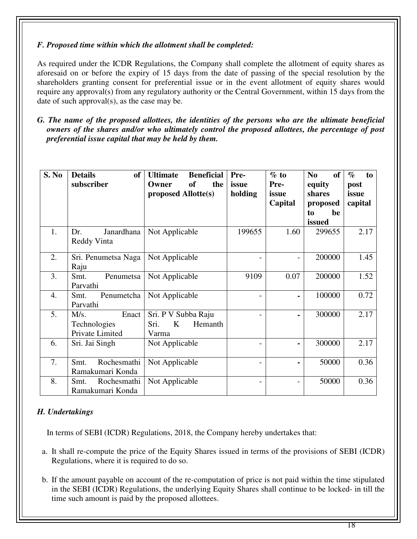## *F. Proposed time within which the allotment shall be completed:*

As required under the ICDR Regulations, the Company shall complete the allotment of equity shares as aforesaid on or before the expiry of 15 days from the date of passing of the special resolution by the shareholders granting consent for preferential issue or in the event allotment of equity shares would require any approval(s) from any regulatory authority or the Central Government, within 15 days from the date of such approval(s), as the case may be.

*G. The name of the proposed allottees, the identities of the persons who are the ultimate beneficial owners of the shares and/or who ultimately control the proposed allottees, the percentage of post preferential issue capital that may be held by them.* 

| S. No | <b>Details</b><br>of<br>subscriber               | <b>Beneficial</b><br><b>Ultimate</b><br>the<br>of<br>Owner<br>proposed Allotte(s) | Pre-<br>issue<br>holding | $\%$ to<br>Pre-<br>issue<br>Capital | <b>of</b><br>N <sub>0</sub><br>equity<br>shares<br>proposed<br>be<br>to<br>issued | $\%$<br>to<br>post<br>issue<br>capital |
|-------|--------------------------------------------------|-----------------------------------------------------------------------------------|--------------------------|-------------------------------------|-----------------------------------------------------------------------------------|----------------------------------------|
| 1.    | Janardhana<br>Dr.<br>Reddy Vinta                 | Not Applicable                                                                    | 199655                   | 1.60                                | 299655                                                                            | 2.17                                   |
| 2.    | Sri. Penumetsa Naga<br>Raju                      | Not Applicable                                                                    |                          |                                     | 200000                                                                            | 1.45                                   |
| 3.    | Penumetsa<br>Smt.<br>Parvathi                    | Not Applicable                                                                    | 9109                     | 0.07                                | 200000                                                                            | 1.52                                   |
| 4.    | Penumetcha<br>Smt.<br>Parvathi                   | Not Applicable                                                                    |                          | $\blacksquare$                      | 100000                                                                            | 0.72                                   |
| 5.    | Enact<br>M/s.<br>Technologies<br>Private Limited | Sri. P V Subba Raju<br>Hemanth<br>Sri.<br>K<br>Varma                              |                          |                                     | 300000                                                                            | 2.17                                   |
| 6.    | Sri. Jai Singh                                   | Not Applicable                                                                    |                          |                                     | 300000                                                                            | 2.17                                   |
| 7.    | Rochesmathi<br>Smt.<br>Ramakumari Konda          | Not Applicable                                                                    |                          |                                     | 50000                                                                             | 0.36                                   |
| 8.    | Smt.<br>Rochesmathi<br>Ramakumari Konda          | Not Applicable                                                                    |                          |                                     | 50000                                                                             | 0.36                                   |

# *H. Undertakings*

In terms of SEBI (ICDR) Regulations, 2018, the Company hereby undertakes that:

- a. It shall re-compute the price of the Equity Shares issued in terms of the provisions of SEBI (ICDR) Regulations, where it is required to do so.
- b. If the amount payable on account of the re-computation of price is not paid within the time stipulated in the SEBI (ICDR) Regulations, the underlying Equity Shares shall continue to be locked- in till the time such amount is paid by the proposed allottees.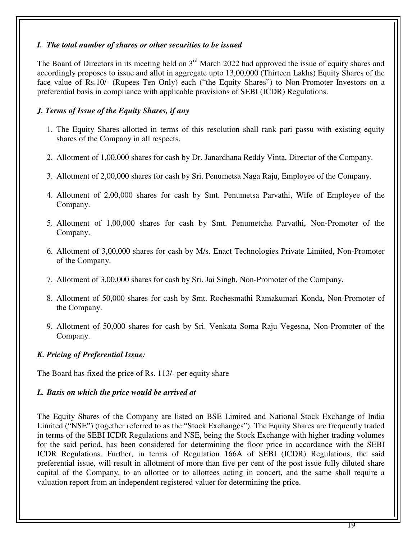#### *I.**The total number of shares or other securities to be issued*

The Board of Directors in its meeting held on 3<sup>rd</sup> March 2022 had approved the issue of equity shares and accordingly proposes to issue and allot in aggregate upto 13,00,000 (Thirteen Lakhs) Equity Shares of the face value of Rs.10/- (Rupees Ten Only) each ("the Equity Shares") to Non-Promoter Investors on a preferential basis in compliance with applicable provisions of SEBI (ICDR) Regulations.

# *J. Terms of Issue of the Equity Shares, if any*

- 1. The Equity Shares allotted in terms of this resolution shall rank pari passu with existing equity shares of the Company in all respects.
- 2. Allotment of 1,00,000 shares for cash by Dr. Janardhana Reddy Vinta, Director of the Company.
- 3. Allotment of 2,00,000 shares for cash by Sri. Penumetsa Naga Raju, Employee of the Company.
- 4. Allotment of 2,00,000 shares for cash by Smt. Penumetsa Parvathi, Wife of Employee of the Company.
- 5. Allotment of 1,00,000 shares for cash by Smt. Penumetcha Parvathi, Non-Promoter of the Company.
- 6. Allotment of 3,00,000 shares for cash by M/s. Enact Technologies Private Limited, Non-Promoter of the Company.
- 7. Allotment of 3,00,000 shares for cash by Sri. Jai Singh, Non-Promoter of the Company.
- 8. Allotment of 50,000 shares for cash by Smt. Rochesmathi Ramakumari Konda, Non-Promoter of the Company.
- 9. Allotment of 50,000 shares for cash by Sri. Venkata Soma Raju Vegesna, Non-Promoter of the Company.

# *K. Pricing of Preferential Issue:*

The Board has fixed the price of Rs. 113/- per equity share

# *L. Basis on which the price would be arrived at*

The Equity Shares of the Company are listed on BSE Limited and National Stock Exchange of India Limited ("NSE") (together referred to as the "Stock Exchanges"). The Equity Shares are frequently traded in terms of the SEBI ICDR Regulations and NSE, being the Stock Exchange with higher trading volumes for the said period, has been considered for determining the floor price in accordance with the SEBI ICDR Regulations. Further, in terms of Regulation 166A of SEBI (ICDR) Regulations, the said preferential issue, will result in allotment of more than five per cent of the post issue fully diluted share capital of the Company, to an allottee or to allottees acting in concert, and the same shall require a valuation report from an independent registered valuer for determining the price.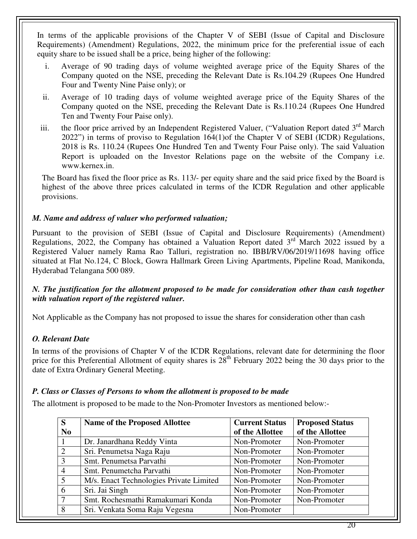In terms of the applicable provisions of the Chapter V of SEBI (Issue of Capital and Disclosure Requirements) (Amendment) Regulations, 2022, the minimum price for the preferential issue of each equity share to be issued shall be a price, being higher of the following:

- i. Average of 90 trading days of volume weighted average price of the Equity Shares of the Company quoted on the NSE, preceding the Relevant Date is Rs.104.29 (Rupees One Hundred Four and Twenty Nine Paise only); or
- ii. Average of 10 trading days of volume weighted average price of the Equity Shares of the Company quoted on the NSE, preceding the Relevant Date is Rs.110.24 (Rupees One Hundred Ten and Twenty Four Paise only).
- iii. the floor price arrived by an Independent Registered Valuer, ("Valuation Report dated  $3<sup>rd</sup>$  March 2022") in terms of proviso to Regulation 164(1)of the Chapter V of SEBI (ICDR) Regulations, 2018 is Rs. 110.24 (Rupees One Hundred Ten and Twenty Four Paise only). The said Valuation Report is uploaded on the Investor Relations page on the website of the Company i.e. www.kernex.in.

The Board has fixed the floor price as Rs. 113/- per equity share and the said price fixed by the Board is highest of the above three prices calculated in terms of the ICDR Regulation and other applicable provisions.

# *M. Name and address of valuer who performed valuation;*

Pursuant to the provision of SEBI (Issue of Capital and Disclosure Requirements) (Amendment) Regulations, 2022, the Company has obtained a Valuation Report dated  $3<sup>rd</sup>$  March 2022 issued by a Registered Valuer namely Rama Rao Talluri, registration no. IBBI/RV/06/2019/11698 having office situated at Flat No.124, C Block, Gowra Hallmark Green Living Apartments, Pipeline Road, Manikonda, Hyderabad Telangana 500 089.

#### *N. The justification for the allotment proposed to be made for consideration other than cash together with valuation report of the registered valuer.*

Not Applicable as the Company has not proposed to issue the shares for consideration other than cash

# *O. Relevant Date*

In terms of the provisions of Chapter V of the ICDR Regulations, relevant date for determining the floor price for this Preferential Allotment of equity shares is  $28<sup>th</sup>$  February 2022 being the 30 days prior to the date of Extra Ordinary General Meeting.

#### *P. Class or Classes of Persons to whom the allotment is proposed to be made*

The allotment is proposed to be made to the Non-Promoter Investors as mentioned below:-

| S                     | <b>Name of the Proposed Allottee</b>    | <b>Current Status</b> | <b>Proposed Status</b> |
|-----------------------|-----------------------------------------|-----------------------|------------------------|
| N <sub>0</sub>        |                                         | of the Allottee       | of the Allottee        |
|                       | Dr. Janardhana Reddy Vinta              | Non-Promoter          | Non-Promoter           |
| $\mathcal{D}_{\cdot}$ | Sri. Penumetsa Naga Raju                | Non-Promoter          | Non-Promoter           |
| 3                     | Smt. Penumetsa Parvathi                 | Non-Promoter          | Non-Promoter           |
| 4                     | Smt. Penumetcha Parvathi                | Non-Promoter          | Non-Promoter           |
| 5                     | M/s. Enact Technologies Private Limited | Non-Promoter          | Non-Promoter           |
| 6                     | Sri. Jai Singh                          | Non-Promoter          | Non-Promoter           |
| $\mathcal{I}$         | Smt. Rochesmathi Ramakumari Konda       | Non-Promoter          | Non-Promoter           |
| 8                     | Sri. Venkata Soma Raju Vegesna          | Non-Promoter          |                        |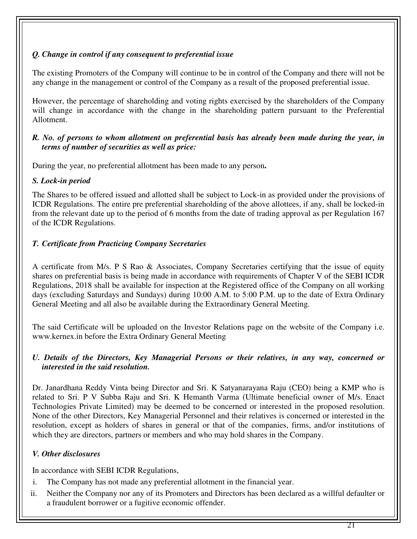# *Q. Change in control if any consequent to preferential issue*

The existing Promoters of the Company will continue to be in control of the Company and there will not be any change in the management or control of the Company as a result of the proposed preferential issue.

However, the percentage of shareholding and voting rights exercised by the shareholders of the Company will change in accordance with the change in the shareholding pattern pursuant to the Preferential Allotment.

## *R. No. of persons to whom allotment on preferential basis has already been made during the year, in terms of number of securities as well as price:*

During the year, no preferential allotment has been made to any person**.** 

# *S. Lock-in period*

The Shares to be offered issued and allotted shall be subject to Lock-in as provided under the provisions of ICDR Regulations. The entire pre preferential shareholding of the above allottees, if any, shall be locked-in from the relevant date up to the period of 6 months from the date of trading approval as per Regulation 167 of the ICDR Regulations.

# *T. Certificate from Practicing Company Secretaries*

A certificate from M/s. P S Rao & Associates, Company Secretaries certifying that the issue of equity shares on preferential basis is being made in accordance with requirements of Chapter V of the SEBI ICDR Regulations, 2018 shall be available for inspection at the Registered office of the Company on all working days (excluding Saturdays and Sundays) during 10:00 A.M. to 5:00 P.M. up to the date of Extra Ordinary General Meeting and all also be available during the Extraordinary General Meeting.

The said Certificate will be uploaded on the Investor Relations page on the website of the Company i.e. www.kernex.in before the Extra Ordinary General Meeting

# *U. Details of the Directors, Key Managerial Persons or their relatives, in any way, concerned or interested in the said resolution.*

Dr. Janardhana Reddy Vinta being Director and Sri. K Satyanarayana Raju (CEO) being a KMP who is related to Sri. P V Subba Raju and Sri. K Hemanth Varma (Ultimate beneficial owner of M/s. Enact Technologies Private Limited) may be deemed to be concerned or interested in the proposed resolution. None of the other Directors, Key Managerial Personnel and their relatives is concerned or interested in the resolution, except as holders of shares in general or that of the companies, firms, and/or institutions of which they are directors, partners or members and who may hold shares in the Company.

# *V. Other disclosures*

In accordance with SEBI ICDR Regulations,

- i. The Company has not made any preferential allotment in the financial year.
- ii. Neither the Company nor any of its Promoters and Directors has been declared as a willful defaulter or a fraudulent borrower or a fugitive economic offender.